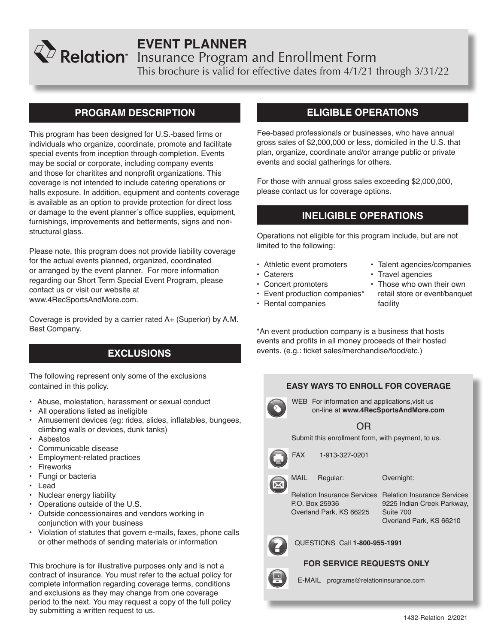# **EVENT PLANNER**

Insurance Program and Enrollment Form

This brochure is valid for effective dates from 4/1/21 through 3/31/22

## **PROGRAM DESCRIPTION**

This program has been designed for U.S.-based firms or individuals who organize, coordinate, promote and facilitate special events from inception through completion. Events may be social or corporate, including company events and those for charitites and nonprofit organizations. This coverage is not intended to include catering operations or halls exposure. In addition, equipment and contents coverage is available as an option to provide protection for direct loss or damage to the event planner's office supplies, equipment, furnishings, improvements and betterments, signs and nonstructural glass.

Please note, this program does not provide liability coverage for the actual events planned, organized, coordinated or arranged by the event planner. For more information regarding our Short Term Special Event Program, please contact us or visit our website at www.4RecSportsAndMore.com.

Coverage is provided by a carrier rated A+ (Superior) by A.M. Best Company.

## **EXCLUSIONS**

The following represent only some of the exclusions contained in this policy.

- Abuse, molestation, harassment or sexual conduct
- All operations listed as ineligible
- Amusement devices (eg: rides, slides, inflatables, bungees, climbing walls or devices, dunk tanks)
- Asbestos
- Communicable disease
- Employment-related practices
- **Fireworks**
- Fungi or bacteria
- Lead
- Nuclear energy liability
- Operations outside of the U.S.
- Outside concessionaires and vendors working in conjunction with your business
- Violation of statutes that govern e-mails, faxes, phone calls or other methods of sending materials or information

This brochure is for illustrative purposes only and is not a contract of insurance. You must refer to the actual policy for complete information regarding coverage terms, conditions and exclusions as they may change from one coverage period to the next. You may request a copy of the full policy by submitting a written request to us.

## **ELIGIBLE OPERATIONS**

Fee-based professionals or businesses, who have annual gross sales of \$2,000,000 or less, domiciled in the U.S. that plan, organize, coordinate and/or arrange public or private events and social gatherings for others.

For those with annual gross sales exceeding \$2,000,000, please contact us for coverage options.

## **INELIGIBLE OPERATIONS**

Operations not eligible for this program include, but are not limited to the following:

- Athletic event promoters
- Caterers
- Concert promoters
- Event production companies\*
- Rental companies
- Talent agencies/companies
- Travel agencies
- Those who own their own retail store or event/banquet facility

\*An event production company is a business that hosts events and profits in all money proceeds of their hosted events. (e.g.: ticket sales/merchandise/food/etc.)

## **EASY WAYS TO ENROLL FOR COVERAGE**

WEB For information and applications,visit us on-line at **www.4RecSportsAndMore.com**

## OR

Submit this enrollment form, with payment, to us.



FAX 1-913-327-0201



Overnight:

Relation Insurance Services Relation Insurance Services P.O. Box 25936 Overland Park, KS 66225

9225 Indian Creek Parkway, Suite 700 Overland Park, KS 66210



QUESTIONS Call **1-800-955-1991**

## **FOR SERVICE REQUESTS ONLY**



E-MAIL programs@relationinsurance.com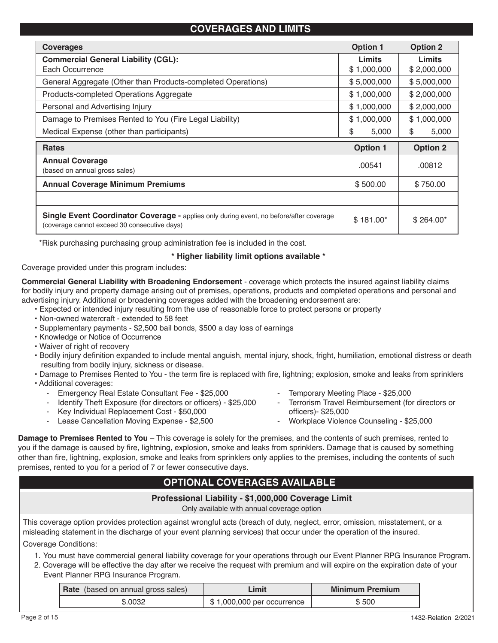## **COVERAGES AND LIMITS**

| <b>Coverages</b>                                                                                                                               | <b>Option 1</b> | <b>Option 2</b> |
|------------------------------------------------------------------------------------------------------------------------------------------------|-----------------|-----------------|
| <b>Commercial General Liability (CGL):</b>                                                                                                     | Limits          | <b>Limits</b>   |
| Each Occurrence                                                                                                                                | \$1,000,000     | \$2,000,000     |
| General Aggregate (Other than Products-completed Operations)                                                                                   | \$5,000,000     | \$5,000,000     |
| Products-completed Operations Aggregate                                                                                                        | \$1,000,000     | \$2,000,000     |
| Personal and Advertising Injury                                                                                                                | \$1,000,000     | \$2,000,000     |
| Damage to Premises Rented to You (Fire Legal Liability)                                                                                        | \$1,000,000     | \$1,000,000     |
| Medical Expense (other than participants)                                                                                                      | \$<br>5,000     | \$<br>5,000     |
| <b>Rates</b>                                                                                                                                   | <b>Option 1</b> | <b>Option 2</b> |
| <b>Annual Coverage</b>                                                                                                                         | .00541          | .00812          |
| (based on annual gross sales)                                                                                                                  |                 |                 |
| <b>Annual Coverage Minimum Premiums</b>                                                                                                        | \$500.00        | \$750.00        |
|                                                                                                                                                |                 |                 |
| <b>Single Event Coordinator Coverage - applies only during event, no before/after coverage</b><br>(coverage cannot exceed 30 consecutive days) | $$181.00*$      | $$264.00*$      |

\*Risk purchasing purchasing group administration fee is included in the cost.

## **\* Higher liability limit options available \***

Coverage provided under this program includes:

**Commercial General Liability with Broadening Endorsement** - coverage which protects the insured against liability claims for bodily injury and property damage arising out of premises, operations, products and completed operations and personal and advertising injury. Additional or broadening coverages added with the broadening endorsement are:

- Expected or intended injury resulting from the use of reasonable force to protect persons or property
- Non-owned watercraft extended to 58 feet
- Supplementary payments \$2,500 bail bonds, \$500 a day loss of earnings
- Knowledge or Notice of Occurrence
- Waiver of right of recovery
- Bodily injury definition expanded to include mental anguish, mental injury, shock, fright, humiliation, emotional distress or death resulting from bodily injury, sickness or disease.
- Damage to Premises Rented to You the term fire is replaced with fire, lightning; explosion, smoke and leaks from sprinklers • Additional coverages:
- - Emergency Real Estate Consultant Fee \$25,000
	- Identify Theft Exposure (for directors or officers) \$25,000
	- Key Individual Replacement Cost \$50,000
	- Lease Cancellation Moving Expense \$2,500
- Temporary Meeting Place \$25,000
- Terrorism Travel Reimbursement (for directors or officers)- \$25,000
- Workplace Violence Counseling \$25,000

**Damage to Premises Rented to You** – This coverage is solely for the premises, and the contents of such premises, rented to you if the damage is caused by fire, lightning, explosion, smoke and leaks from sprinklers. Damage that is caused by something other than fire, lightning, explosion, smoke and leaks from sprinklers only applies to the premises, including the contents of such premises, rented to you for a period of 7 or fewer consecutive days.

## **OPTIONAL COVERAGES AVAILABLE**

## **Professional Liability - \$1,000,000 Coverage Limit**

Only available with annual coverage option

This coverage option provides protection against wrongful acts (breach of duty, neglect, error, omission, misstatement, or a misleading statement in the discharge of your event planning services) that occur under the operation of the insured. Coverage Conditions:

1. You must have commercial general liability coverage for your operations through our Event Planner RPG Insurance Program.

2. Coverage will be effective the day after we receive the request with premium and will expire on the expiration date of your Event Planner RPG Insurance Program.

| <b>Rate</b> (based on annual gross sales) | .imit                      | <b>Minimum Premium</b> |
|-------------------------------------------|----------------------------|------------------------|
| \$.0032                                   | \$1,000,000 per occurrence | \$ 500                 |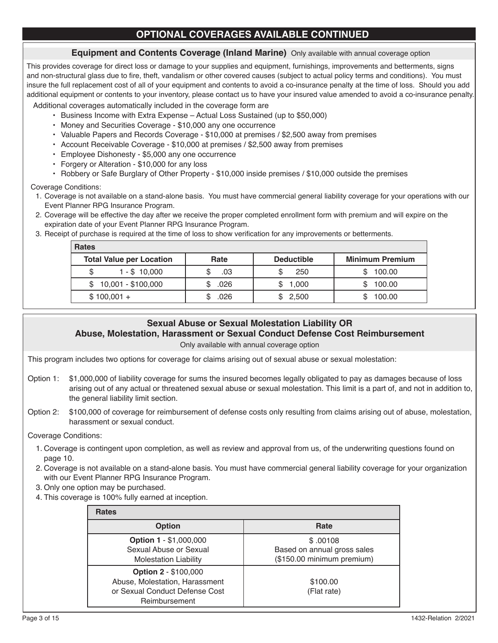## **OPTIONAL COVERAGES AVAILABLE CONTINUED**

### **Equipment and Contents Coverage (Inland Marine)** Only available with annual coverage option

This provides coverage for direct loss or damage to your supplies and equipment, furnishings, improvements and betterments, signs and non-structural glass due to fire, theft, vandalism or other covered causes (subject to actual policy terms and conditions). You must insure the full replacement cost of all of your equipment and contents to avoid a co-insurance penalty at the time of loss. Should you add additional equipment or contents to your inventory, please contact us to have your insured value amended to avoid a co-insurance penalty.

Additional coverages automatically included in the coverage form are

- Business Income with Extra Expense Actual Loss Sustained (up to \$50,000)
- Money and Securities Coverage \$10,000 any one occurrence
- Valuable Papers and Records Coverage \$10,000 at premises / \$2,500 away from premises
- Account Receivable Coverage \$10,000 at premises / \$2,500 away from premises
- Employee Dishonesty \$5,000 any one occurrence
- Forgery or Alteration \$10,000 for any loss
- Robbery or Safe Burglary of Other Property \$10,000 inside premises / \$10,000 outside the premises

Coverage Conditions:

- 1. Coverage is not available on a stand-alone basis. You must have commercial general liability coverage for your operations with our Event Planner RPG Insurance Program.
- 2. Coverage will be effective the day after we receive the proper completed enrollment form with premium and will expire on the expiration date of your Event Planner RPG Insurance Program.
- 3. Receipt of purchase is required at the time of loss to show verification for any improvements or betterments.

| Rate | <b>Deductible</b> | <b>Minimum Premium</b> |
|------|-------------------|------------------------|
| .03  | 250               | 100.00                 |
| .026 | 1,000             | 100.00                 |
| .026 | \$2,500           | 100.00                 |
|      |                   |                        |

## **Sexual Abuse or Sexual Molestation Liability OR**

## **Abuse, Molestation, Harassment or Sexual Conduct Defense Cost Reimbursement**

Only available with annual coverage option

This program includes two options for coverage for claims arising out of sexual abuse or sexual molestation:

- Option 1: \$1,000,000 of liability coverage for sums the insured becomes legally obligated to pay as damages because of loss arising out of any actual or threatened sexual abuse or sexual molestation. This limit is a part of, and not in addition to, the general liability limit section.
- Option 2: \$100,000 of coverage for reimbursement of defense costs only resulting from claims arising out of abuse, molestation, harassment or sexual conduct.

Coverage Conditions:

- 1. Coverage is contingent upon completion, as well as review and approval from us, of the underwriting questions found on page 10.
- 2. Coverage is not available on a stand-alone basis. You must have commercial general liability coverage for your organization with our Event Planner RPG Insurance Program.
- 3. Only one option may be purchased.
- 4. This coverage is 100% fully earned at inception.

| <b>Rates</b>                                                                                                     |                                                                       |
|------------------------------------------------------------------------------------------------------------------|-----------------------------------------------------------------------|
| <b>Option</b>                                                                                                    | Rate                                                                  |
| <b>Option 1 - \$1,000,000</b><br>Sexual Abuse or Sexual<br><b>Molestation Liability</b>                          | \$.00108<br>Based on annual gross sales<br>(\$150.00 minimum premium) |
| <b>Option 2 - \$100,000</b><br>Abuse, Molestation, Harassment<br>or Sexual Conduct Defense Cost<br>Reimbursement | \$100.00<br>(Flat rate)                                               |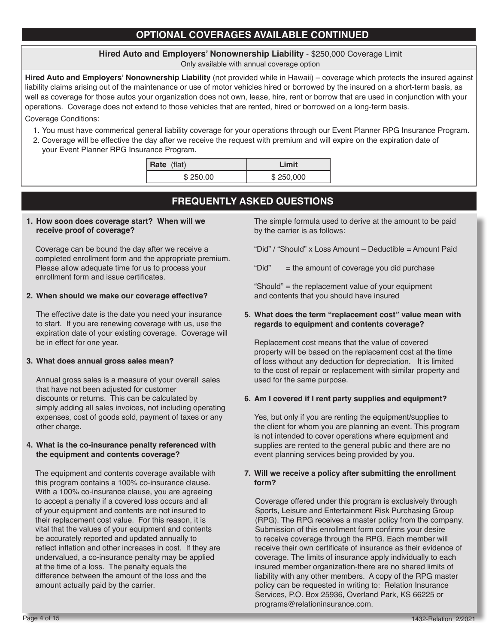## **OPTIONAL COVERAGES AVAILABLE CONTINUED**

## **Hired Auto and Employers' Nonownership Liability** - \$250,000 Coverage Limit

Only available with annual coverage option

**Hired Auto and Employers' Nonownership Liability** (not provided while in Hawaii) – coverage which protects the insured against liability claims arising out of the maintenance or use of motor vehicles hired or borrowed by the insured on a short-term basis, as well as coverage for those autos your organization does not own, lease, hire, rent or borrow that are used in conjunction with your operations. Coverage does not extend to those vehicles that are rented, hired or borrowed on a long-term basis. Coverage Conditions:

- 1. You must have commerical general liability coverage for your operations through our Event Planner RPG Insurance Program.
- 2. Coverage will be effective the day after we receive the request with premium and will expire on the expiration date of your Event Planner RPG Insurance Program.

| $\vert$ Rate (flat) | Limit     |
|---------------------|-----------|
| \$250.00            | \$250,000 |

## **FREQUENTLY ASKED QUESTIONS**

**1. How soon does coverage start? When will we receive proof of coverage?**

 $\overline{\phantom{a}}$ 

Coverage can be bound the day after we receive a completed enrollment form and the appropriate premium. Please allow adequate time for us to process your enrollment form and issue certificates.

### **2. When should we make our coverage effective?**

The effective date is the date you need your insurance to start. If you are renewing coverage with us, use the expiration date of your existing coverage. Coverage will be in effect for one year.

### **3. What does annual gross sales mean?**

Annual gross sales is a measure of your overall sales that have not been adjusted for customer discounts or returns. This can be calculated by simply adding all sales invoices, not including operating expenses, cost of goods sold, payment of taxes or any other charge.

### **4. What is the co-insurance penalty referenced with the equipment and contents coverage?**

The equipment and contents coverage available with this program contains a 100% co-insurance clause. With a 100% co-insurance clause, you are agreeing to accept a penalty if a covered loss occurs and all of your equipment and contents are not insured to their replacement cost value. For this reason, it is vital that the values of your equipment and contents be accurately reported and updated annually to reflect inflation and other increases in cost. If they are undervalued, a co-insurance penalty may be applied at the time of a loss. The penalty equals the difference between the amount of the loss and the amount actually paid by the carrier.

The simple formula used to derive at the amount to be paid by the carrier is as follows:

"Did" / "Should" x Loss Amount – Deductible = Amount Paid

"Did"  $=$  the amount of coverage you did purchase

"Should" = the replacement value of your equipment and contents that you should have insured

### **5. What does the term "replacement cost" value mean with regards to equipment and contents coverage?**

Replacement cost means that the value of covered property will be based on the replacement cost at the time of loss without any deduction for depreciation. It is limited to the cost of repair or replacement with similar property and used for the same purpose.

## **6. Am I covered if I rent party supplies and equipment?**

Yes, but only if you are renting the equipment/supplies to the client for whom you are planning an event. This program is not intended to cover operations where equipment and supplies are rented to the general public and there are no event planning services being provided by you.

### **7. Will we receive a policy after submitting the enrollment form?**

Coverage offered under this program is exclusively through Sports, Leisure and Entertainment Risk Purchasing Group (RPG). The RPG receives a master policy from the company. Submission of this enrollment form confirms your desire to receive coverage through the RPG. Each member will receive their own certificate of insurance as their evidence of coverage. The limits of insurance apply individually to each insured member organization-there are no shared limits of liability with any other members. A copy of the RPG master policy can be requested in writing to: Relation Insurance Services, P.O. Box 25936, Overland Park, KS 66225 or programs@relationinsurance.com.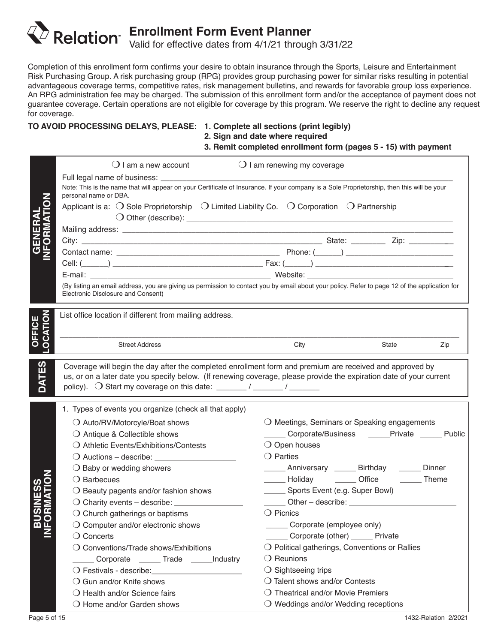# **Enrollment Form Event Planner** Valid for effective dates from 4/1/21 through 3/31/22

Completion of this enrollment form confirms your desire to obtain insurance through the Sports, Leisure and Entertainment Risk Purchasing Group. A risk purchasing group (RPG) provides group purchasing power for similar risks resulting in potential advantageous coverage terms, competitive rates, risk management bulletins, and rewards for favorable group loss experience. An RPG administration fee may be charged. The submission of this enrollment form and/or the acceptance of payment does not guarantee coverage. Certain operations are not eligible for coverage by this program. We reserve the right to decline any request for coverage.

## **TO AVOID PROCESSING DELAYS, PLEASE: 1. Complete all sections (print legibly)**

 **2. Sign and date where required**

## **3. Remit completed enrollment form (pages 5 - 15) with payment**

|   | $\bigcup$ I am a new account                                                                                                                                                                                                   | $\bigcirc$ I am renewing my coverage                                                                                                          |
|---|--------------------------------------------------------------------------------------------------------------------------------------------------------------------------------------------------------------------------------|-----------------------------------------------------------------------------------------------------------------------------------------------|
|   |                                                                                                                                                                                                                                |                                                                                                                                               |
|   | personal name or DBA.                                                                                                                                                                                                          | Note: This is the name that will appear on your Certificate of Insurance. If your company is a Sole Proprietorship, then this will be your    |
|   | Applicant is a: $\bigcirc$ Sole Proprietorship $\bigcirc$ Limited Liability Co. $\bigcirc$ Corporation $\bigcirc$ Partnership                                                                                                  |                                                                                                                                               |
|   |                                                                                                                                                                                                                                |                                                                                                                                               |
|   |                                                                                                                                                                                                                                |                                                                                                                                               |
|   |                                                                                                                                                                                                                                |                                                                                                                                               |
|   |                                                                                                                                                                                                                                |                                                                                                                                               |
|   |                                                                                                                                                                                                                                |                                                                                                                                               |
|   | Electronic Disclosure and Consent)                                                                                                                                                                                             | (By listing an email address, you are giving us permission to contact you by email about your policy. Refer to page 12 of the application for |
|   | List office location if different from mailing address.                                                                                                                                                                        |                                                                                                                                               |
|   |                                                                                                                                                                                                                                |                                                                                                                                               |
|   |                                                                                                                                                                                                                                |                                                                                                                                               |
|   | <b>Street Address</b>                                                                                                                                                                                                          | Zip<br>City<br>State                                                                                                                          |
| ഗ | Coverage will begin the day after the completed enrollment form and premium are received and approved by                                                                                                                       |                                                                                                                                               |
| ш |                                                                                                                                                                                                                                | us, or on a later date you specify below. (If renewing coverage, please provide the expiration date of your current                           |
|   |                                                                                                                                                                                                                                |                                                                                                                                               |
|   |                                                                                                                                                                                                                                |                                                                                                                                               |
|   | 1. Types of events you organize (check all that apply)                                                                                                                                                                         |                                                                                                                                               |
|   | ○ Auto/RV/Motorcyle/Boat shows                                                                                                                                                                                                 | O Meetings, Seminars or Speaking engagements                                                                                                  |
|   | ○ Antique & Collectible shows                                                                                                                                                                                                  | Corporate/Business _____Private ______ Public                                                                                                 |
|   | ○ Athletic Events/Exhibitions/Contests                                                                                                                                                                                         | $\bigcirc$ Open houses                                                                                                                        |
|   |                                                                                                                                                                                                                                | $\bigcirc$ Parties                                                                                                                            |
|   | $\bigcirc$ Baby or wedding showers                                                                                                                                                                                             | ______ Anniversary ______ Birthday ______ Dinner                                                                                              |
|   | O Barbecues                                                                                                                                                                                                                    | ______ Holiday _______ Office<br><b>Theme</b>                                                                                                 |
|   | $\bigcirc$ Beauty pagents and/or fashion shows                                                                                                                                                                                 | _______ Sports Event (e.g. Super Bowl)<br>Other - describe:                                                                                   |
|   |                                                                                                                                                                                                                                | $\bigcirc$ Picnics                                                                                                                            |
|   | $\bigcirc$ Church gatherings or baptisms                                                                                                                                                                                       | Corporate (employee only)                                                                                                                     |
| ≃ | $\bigcirc$ Computer and/or electronic shows                                                                                                                                                                                    | Corporate (other) ______ Private                                                                                                              |
|   | $\bigcirc$ Concerts<br>O Conventions/Trade shows/Exhibitions                                                                                                                                                                   | $\bigcirc$ Political gatherings, Conventions or Rallies                                                                                       |
|   | Corporate _______ Trade ______Industry                                                                                                                                                                                         |                                                                                                                                               |
|   |                                                                                                                                                                                                                                |                                                                                                                                               |
|   |                                                                                                                                                                                                                                | $\bigcirc$ Reunions                                                                                                                           |
|   | O Festivals - describe: \\square\\square\\square\\square\\square\\square\\square\\square\\square\\square\\square\\square\\square\\square\\square\\square\\square\\square\\square\\square\\square\\square\\square\\square\\squa | $\bigcirc$ Sightseeing trips                                                                                                                  |
|   | $\bigcirc$ Gun and/or Knife shows                                                                                                                                                                                              | O Talent shows and/or Contests                                                                                                                |
|   | $\bigcirc$ Health and/or Science fairs<br>$\bigcirc$ Home and/or Garden shows                                                                                                                                                  | ○ Theatrical and/or Movie Premiers<br>$\bigcirc$ Weddings and/or Wedding receptions                                                           |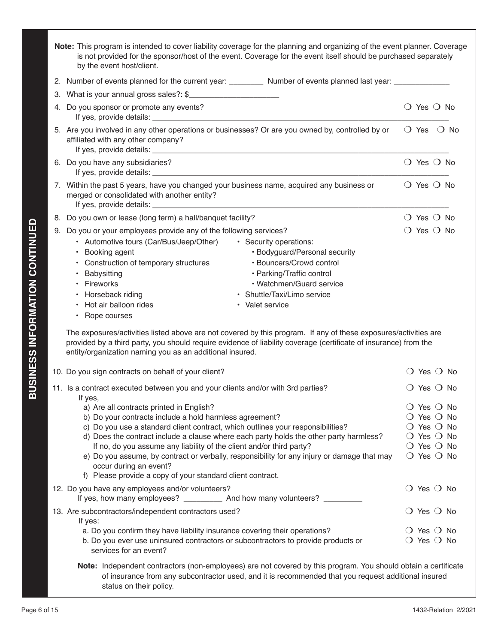| Note: This program is intended to cover liability coverage for the planning and organizing of the event planner. Coverage<br>is not provided for the sponsor/host of the event. Coverage for the event itself should be purchased separately<br>by the event host/client.                                                                                                                                 |                                                              |  |
|-----------------------------------------------------------------------------------------------------------------------------------------------------------------------------------------------------------------------------------------------------------------------------------------------------------------------------------------------------------------------------------------------------------|--------------------------------------------------------------|--|
| 2. Number of events planned for the current year: ____________ Number of events planned last year: ___________                                                                                                                                                                                                                                                                                            |                                                              |  |
| 3. What is your annual gross sales?: \$                                                                                                                                                                                                                                                                                                                                                                   |                                                              |  |
| 4. Do you sponsor or promote any events?                                                                                                                                                                                                                                                                                                                                                                  | $\bigcirc$ Yes $\bigcirc$ No                                 |  |
| 5. Are you involved in any other operations or businesses? Or are you owned by, controlled by or<br>affiliated with any other company?                                                                                                                                                                                                                                                                    | $\bigcirc$ Yes $\bigcirc$ No                                 |  |
| 6. Do you have any subsidiaries?                                                                                                                                                                                                                                                                                                                                                                          | $\bigcirc$ Yes $\bigcirc$ No                                 |  |
| 7. Within the past 5 years, have you changed your business name, acquired any business or<br>merged or consolidated with another entity?                                                                                                                                                                                                                                                                  | $\bigcirc$ Yes $\bigcirc$ No                                 |  |
| 8. Do you own or lease (long term) a hall/banquet facility?                                                                                                                                                                                                                                                                                                                                               | $\bigcirc$ Yes $\bigcirc$ No                                 |  |
| 9. Do you or your employees provide any of the following services?                                                                                                                                                                                                                                                                                                                                        | $\bigcirc$ Yes $\bigcirc$ No                                 |  |
| • Automotive tours (Car/Bus/Jeep/Other)<br>· Security operations:<br>• Bodyguard/Personal security<br>• Booking agent<br>• Construction of temporary structures<br>• Bouncers/Crowd control<br>• Babysitting<br>· Parking/Traffic control<br>• Fireworks<br>• Watchmen/Guard service<br>• Horseback riding<br>• Shuttle/Taxi/Limo service<br>• Hot air balloon rides<br>• Valet service<br>• Rope courses |                                                              |  |
| The exposures/activities listed above are not covered by this program. If any of these exposures/activities are<br>provided by a third party, you should require evidence of liability coverage (certificate of insurance) from the<br>entity/organization naming you as an additional insured.                                                                                                           |                                                              |  |
| 10. Do you sign contracts on behalf of your client?                                                                                                                                                                                                                                                                                                                                                       | $\bigcirc$ Yes $\bigcirc$ No                                 |  |
| 11. Is a contract executed between you and your clients and/or with 3rd parties?<br>If yes,                                                                                                                                                                                                                                                                                                               | $\bigcirc$ Yes $\bigcirc$ No                                 |  |
| a) Are all contracts printed in English?                                                                                                                                                                                                                                                                                                                                                                  | $\bigcirc$ Yes $\bigcirc$ No                                 |  |
| b) Do your contracts include a hold harmless agreement?                                                                                                                                                                                                                                                                                                                                                   | $\bigcirc$ Yes $\bigcirc$ No                                 |  |
| c) Do you use a standard client contract, which outlines your responsibilities?                                                                                                                                                                                                                                                                                                                           | $\bigcirc$ Yes $\bigcirc$ No                                 |  |
| d) Does the contract include a clause where each party holds the other party harmless?                                                                                                                                                                                                                                                                                                                    | $\bigcirc$ Yes $\bigcirc$ No                                 |  |
| If no, do you assume any liability of the client and/or third party?<br>e) Do you assume, by contract or verbally, responsibility for any injury or damage that may                                                                                                                                                                                                                                       | $\bigcirc$ Yes $\bigcirc$ No<br>$\bigcirc$ Yes $\bigcirc$ No |  |
| occur during an event?<br>f) Please provide a copy of your standard client contract.                                                                                                                                                                                                                                                                                                                      |                                                              |  |
| 12. Do you have any employees and/or volunteers?                                                                                                                                                                                                                                                                                                                                                          | $\bigcirc$ Yes $\bigcirc$ No                                 |  |
| If yes, how many employees? ____________ And how many volunteers? ________                                                                                                                                                                                                                                                                                                                                |                                                              |  |
| 13. Are subcontractors/independent contractors used?<br>If yes:                                                                                                                                                                                                                                                                                                                                           | $\bigcirc$ Yes $\bigcirc$ No                                 |  |
| a. Do you confirm they have liability insurance covering their operations?                                                                                                                                                                                                                                                                                                                                | $\bigcirc$ Yes $\bigcirc$ No                                 |  |
| b. Do you ever use uninsured contractors or subcontractors to provide products or<br>services for an event?                                                                                                                                                                                                                                                                                               | $\bigcirc$ Yes $\bigcirc$ No                                 |  |
| Note: Independent contractors (non-employees) are not covered by this program. You should obtain a certificate<br>of insurance from any subcontractor used, and it is recommended that you request additional insured                                                                                                                                                                                     |                                                              |  |

status on their policy.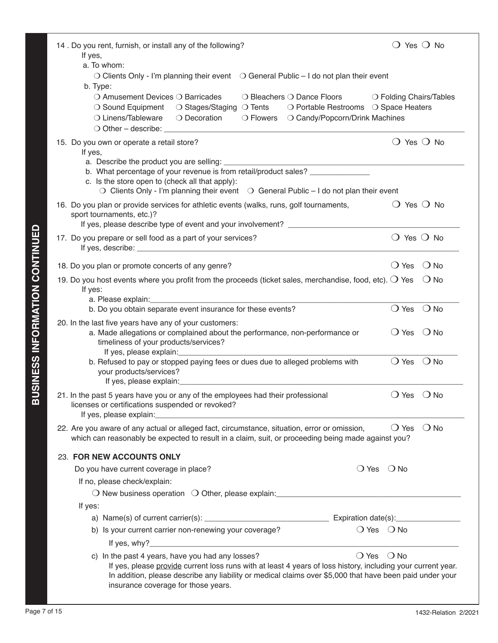| 14. Do you rent, furnish, or install any of the following?<br>If yes,<br>a. To whom:                                                                                                                                                                            | $\bigcirc$ Yes $\bigcirc$ No    |
|-----------------------------------------------------------------------------------------------------------------------------------------------------------------------------------------------------------------------------------------------------------------|---------------------------------|
| $\bigcirc$ Clients Only - I'm planning their event $\bigcirc$ General Public – I do not plan their event                                                                                                                                                        |                                 |
| b. Type:<br>○ Amusement Devices ○ Barricades                                                                                                                                                                                                                    |                                 |
| $\bigcirc$ Bleachers $\bigcirc$ Dance Floors<br>○ Sound Equipment<br>○ Stages/Staging ○ Tents<br>○ Portable Restrooms ○ Space Heaters                                                                                                                           | ○ Folding Chairs/Tables         |
| ○ Linens/Tableware<br>○ Decoration<br>$\bigcirc$ Flowers<br>O Candy/Popcorn/Drink Machines                                                                                                                                                                      |                                 |
| O Other - describe: <u>contained</u> and a set of the set of the set of the set of the set of the set of the set of the set of the set of the set of the set of the set of the set of the set of the set of the set of the set of t                             |                                 |
| 15. Do you own or operate a retail store?<br>If yes,                                                                                                                                                                                                            | $\bigcirc$ Yes $\bigcirc$ No    |
| a. Describe the product you are selling: ___________                                                                                                                                                                                                            |                                 |
| b. What percentage of your revenue is from retail/product sales? _______________<br>c. Is the store open to (check all that apply):                                                                                                                             |                                 |
| $\bigcirc$ Clients Only - I'm planning their event $\bigcirc$ General Public - I do not plan their event                                                                                                                                                        |                                 |
| 16. Do you plan or provide services for athletic events (walks, runs, golf tournaments,                                                                                                                                                                         | $\bigcirc$ Yes $\bigcirc$ No    |
| sport tournaments, etc.)?                                                                                                                                                                                                                                       |                                 |
| If yes, please describe type of event and your involvement?                                                                                                                                                                                                     |                                 |
| 17. Do you prepare or sell food as a part of your services?                                                                                                                                                                                                     | $\bigcirc$ Yes $\bigcirc$ No    |
| 18. Do you plan or promote concerts of any genre?                                                                                                                                                                                                               | $\bigcirc$ Yes<br>$\bigcirc$ No |
| 19. Do you host events where you profit from the proceeds (ticket sales, merchandise, food, etc). $\bigcirc$ Yes                                                                                                                                                | $\bigcirc$ No                   |
| If yes:                                                                                                                                                                                                                                                         |                                 |
| a. Please explain:<br>b. Do you obtain separate event insurance for these events?                                                                                                                                                                               |                                 |
|                                                                                                                                                                                                                                                                 | $\bigcirc$ Yes<br>$\bigcirc$ No |
| 20. In the last five years have any of your customers:<br>a. Made allegations or complained about the performance, non-performance or<br>timeliness of your products/services?<br>If yes, please explain: _________                                             | $\bigcirc$ Yes<br>$\bigcirc$ No |
| b. Refused to pay or stopped paying fees or dues due to alleged problems with<br>your products/services?<br>If yes, please explain:                                                                                                                             | $\bigcirc$ Yes<br>$\bigcirc$ No |
| 21. In the past 5 years have you or any of the employees had their professional<br>licenses or certifications suspended or revoked?<br>If yes, please explain:                                                                                                  | $\bigcirc$ No<br>$\bigcirc$ Yes |
| 22. Are you aware of any actual or alleged fact, circumstance, situation, error or omission,<br>which can reasonably be expected to result in a claim, suit, or proceeding being made against you?                                                              | $\bigcirc$ Yes<br>$\bigcirc$ No |
| 23. FOR NEW ACCOUNTS ONLY                                                                                                                                                                                                                                       |                                 |
| Do you have current coverage in place?                                                                                                                                                                                                                          | $O$ Yes $O$ No                  |
| If no, please check/explain:                                                                                                                                                                                                                                    |                                 |
|                                                                                                                                                                                                                                                                 |                                 |
| If yes:                                                                                                                                                                                                                                                         |                                 |
|                                                                                                                                                                                                                                                                 |                                 |
| b) Is your current carrier non-renewing your coverage?                                                                                                                                                                                                          | $\bigcirc$ Yes $\bigcirc$ No    |
|                                                                                                                                                                                                                                                                 |                                 |
| c) In the past 4 years, have you had any losses?                                                                                                                                                                                                                | $\bigcirc$ Yes $\bigcirc$ No    |
| If yes, please provide current loss runs with at least 4 years of loss history, including your current year.<br>In addition, please describe any liability or medical claims over \$5,000 that have been paid under your<br>insurance coverage for those years. |                                 |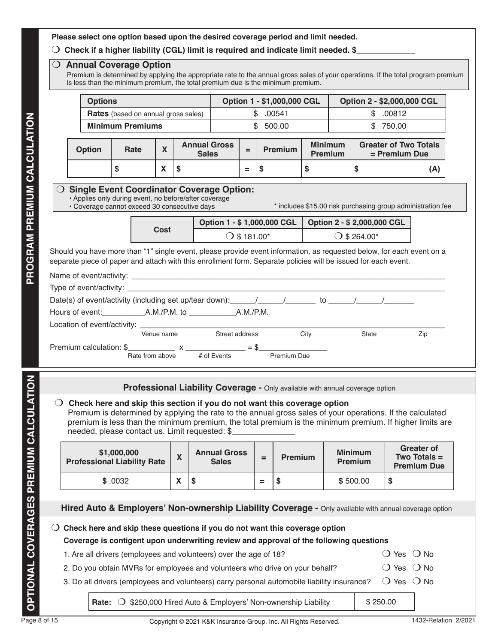### **Please select one option based upon the desired coverage period and limit needed.**

### $\bigcirc$  Check if a higher liability (CGL) limit is required and indicate limit needed. \$\_

#### O Annual Coverage Option

Premium is determined by applying the appropriate rate to the annual gross sales of your operations. If the total program premium is less than the minimum premium, the total premium due is the minimum premium.

| <b>Options</b> |                                                                                                       |            |                                                                             |                       | Option 1 - \$1,000,000 CGL                                                                                                                                                                                                              |                |                |                             | Option 2 - \$2,000,000 CGL                                  |     |
|----------------|-------------------------------------------------------------------------------------------------------|------------|-----------------------------------------------------------------------------|-----------------------|-----------------------------------------------------------------------------------------------------------------------------------------------------------------------------------------------------------------------------------------|----------------|----------------|-----------------------------|-------------------------------------------------------------|-----|
|                | <b>Rates</b> (based on annual gross sales)                                                            |            |                                                                             |                       | \$.00541                                                                                                                                                                                                                                |                |                |                             | \$.00812                                                    |     |
|                | <b>Minimum Premiums</b>                                                                               |            |                                                                             |                       | \$500.00                                                                                                                                                                                                                                |                |                |                             | \$750.00                                                    |     |
| <b>Option</b>  | Rate                                                                                                  | X          | <b>Annual Gross</b><br><b>Sales</b>                                         | $=$                   | <b>Premium</b>                                                                                                                                                                                                                          | <b>Minimum</b> | <b>Premium</b> |                             | <b>Greater of Two Totals</b><br>$=$ Premium Due             |     |
|                | \$                                                                                                    | X          | \$                                                                          | $=$                   | \$                                                                                                                                                                                                                                      | \$             |                | \$                          |                                                             | (A) |
|                | • Applies only during event, no before/after coverage<br>• Coverage cannot exceed 30 consecutive days |            |                                                                             |                       |                                                                                                                                                                                                                                         |                |                |                             | * includes \$15.00 risk purchasing group administration fee |     |
|                |                                                                                                       |            |                                                                             |                       |                                                                                                                                                                                                                                         |                |                |                             |                                                             |     |
|                |                                                                                                       |            |                                                                             |                       | Option 1 - \$ 1,000,000 CGL                                                                                                                                                                                                             |                |                |                             | Option 2 - \$ 2,000,000 CGL                                 |     |
|                |                                                                                                       | Cost       |                                                                             | $\bigcirc$ \$ 181.00* |                                                                                                                                                                                                                                         |                |                | $()$ \$ 264.00 <sup>*</sup> |                                                             |     |
|                |                                                                                                       |            |                                                                             |                       | Should you have more than "1" single event, please provide event information, as requested below, for each event on a<br>separate piece of paper and attach with this enrollment form. Separate policies will be issued for each event. |                |                |                             |                                                             |     |
|                |                                                                                                       |            |                                                                             |                       |                                                                                                                                                                                                                                         |                |                |                             |                                                             |     |
|                |                                                                                                       |            |                                                                             |                       |                                                                                                                                                                                                                                         |                |                |                             |                                                             |     |
|                |                                                                                                       |            |                                                                             |                       |                                                                                                                                                                                                                                         |                |                |                             |                                                             |     |
|                |                                                                                                       |            |                                                                             |                       |                                                                                                                                                                                                                                         |                |                |                             |                                                             |     |
|                |                                                                                                       | Venue name |                                                                             |                       |                                                                                                                                                                                                                                         |                |                | State                       |                                                             |     |
|                |                                                                                                       |            | Street address<br>Premium calculation: $\frac{1}{2}$ x _______________ = \$ |                       |                                                                                                                                                                                                                                         | City           |                |                             |                                                             | Zip |

### **Professional Liability Coverage -** Only available with annual coverage option

### m **Check here and skip this section if you do not want this coverage option**

Premium is determined by applying the rate to the annual gross sales of your operations. If the calculated premium is less than the minimum premium, the total premium is the minimum premium. If higher limits are needed, please contact us. Limit requested: \$\_

| \$1,000,000<br><b>Professional Liability Rate</b> | $\overline{\phantom{a}}$<br>$\sqrt{ }$ | <b>Annual Gross</b><br><b>Sales</b> | = | <b>Premium</b> | <b>Minimum</b><br><b>Premium</b> | <b>Greater of</b><br><b>Two Totals <math>=</math></b><br><b>Premium Due</b> |
|---------------------------------------------------|----------------------------------------|-------------------------------------|---|----------------|----------------------------------|-----------------------------------------------------------------------------|
| \$.0032                                           | v<br>Λ                                 | - 10                                | = |                | \$500.00                         | \$                                                                          |

| <b>Hired Auto &amp; Employers' Non-ownership Liability Coverage -</b> Only available with annual coverage option |  |
|------------------------------------------------------------------------------------------------------------------|--|
|                                                                                                                  |  |

m **Check here and skip these questions if you do not want this coverage option**

## **Coverage is contigent upon underwriting review and approval of the following questions**

- 1. Are all drivers (employees and volunteers) over the age of 18?  $\Box$  Mo  $\Box$  Yes  $\Box$  No
	-
- 2. Do you obtain MVRs for employees and volunteers who drive on your behalf?  $O$  Yes  $O$  No
- 3. Do all drivers (employees and volunteers) carry personal automobile liability insurance?  $\bigcirc$  Yes  $\bigcirc$  No

**Rate:**  $\overline{O}$  \$250,000 Hired Auto & Employers' Non-ownership Liability  $\overline{S}$  250.00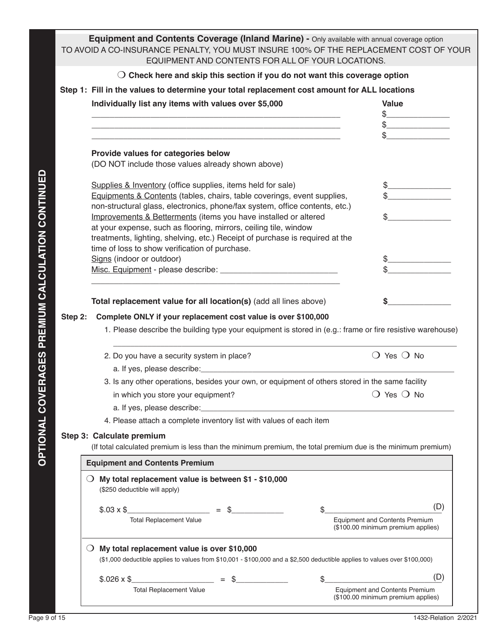**Equipment and Contents Coverage (Inland Marine) - Only available with annual coverage option** TO AVOID A CO-INSURANCE PENALTY, YOU MUST INSURE 100% OF THE REPLACEMENT COST OF YOUR EQUIPMENT AND CONTENTS FOR ALL OF YOUR LOCATIONS.

|                                            | Step 1: Fill in the values to determine your total replacement cost amount for ALL locations<br>Individually list any items with values over \$5,000                                                               | Value<br>$\begin{picture}(20,10) \put(0,0){\line(1,0){10}} \put(15,0){\line(1,0){10}} \put(15,0){\line(1,0){10}} \put(15,0){\line(1,0){10}} \put(15,0){\line(1,0){10}} \put(15,0){\line(1,0){10}} \put(15,0){\line(1,0){10}} \put(15,0){\line(1,0){10}} \put(15,0){\line(1,0){10}} \put(15,0){\line(1,0){10}} \put(15,0){\line(1,0){10}} \put(15,0){\line(1$<br>$\begin{picture}(20,20) \put(0,0){\line(1,0){100}} \put(15,0){\line(1,0){100}} \put(15,0){\line(1,0){100}} \put(15,0){\line(1,0){100}} \put(15,0){\line(1,0){100}} \put(15,0){\line(1,0){100}} \put(15,0){\line(1,0){100}} \put(15,0){\line(1,0){100}} \put(15,0){\line(1,0){100}} \put(15,0){\line(1,0){100}} \put(15,0){\line(1,0){100}} \$ |
|--------------------------------------------|--------------------------------------------------------------------------------------------------------------------------------------------------------------------------------------------------------------------|---------------------------------------------------------------------------------------------------------------------------------------------------------------------------------------------------------------------------------------------------------------------------------------------------------------------------------------------------------------------------------------------------------------------------------------------------------------------------------------------------------------------------------------------------------------------------------------------------------------------------------------------------------------------------------------------------------------|
|                                            |                                                                                                                                                                                                                    |                                                                                                                                                                                                                                                                                                                                                                                                                                                                                                                                                                                                                                                                                                               |
|                                            | Provide values for categories below<br>(DO NOT include those values already shown above)                                                                                                                           |                                                                                                                                                                                                                                                                                                                                                                                                                                                                                                                                                                                                                                                                                                               |
| AL COVERAGES PREMIUM CALCULATION CONTINUED | Supplies & Inventory (office supplies, items held for sale)<br>Equipments & Contents (tables, chairs, table coverings, event supplies,                                                                             | $\frac{1}{2}$<br>$\begin{picture}(20,10) \put(0,0){\vector(1,0){100}} \put(15,0){\vector(1,0){100}} \put(15,0){\vector(1,0){100}} \put(15,0){\vector(1,0){100}} \put(15,0){\vector(1,0){100}} \put(15,0){\vector(1,0){100}} \put(15,0){\vector(1,0){100}} \put(15,0){\vector(1,0){100}} \put(15,0){\vector(1,0){100}} \put(15,0){\vector(1,0){100}} \put(15,0){\vector(1,0){100}} \$                                                                                                                                                                                                                                                                                                                          |
|                                            | non-structural glass, electronics, phone/fax system, office contents, etc.)<br>Improvements & Betterments (items you have installed or altered<br>at your expense, such as flooring, mirrors, ceiling tile, window |                                                                                                                                                                                                                                                                                                                                                                                                                                                                                                                                                                                                                                                                                                               |
|                                            | treatments, lighting, shelving, etc.) Receipt of purchase is required at the<br>time of loss to show verification of purchase.<br>Signs (indoor or outdoor)                                                        | $\frac{1}{2}$                                                                                                                                                                                                                                                                                                                                                                                                                                                                                                                                                                                                                                                                                                 |
|                                            |                                                                                                                                                                                                                    |                                                                                                                                                                                                                                                                                                                                                                                                                                                                                                                                                                                                                                                                                                               |
|                                            | Total replacement value for all location(s) (add all lines above)                                                                                                                                                  | $\sim$                                                                                                                                                                                                                                                                                                                                                                                                                                                                                                                                                                                                                                                                                                        |
| Step 2:                                    | Complete ONLY if your replacement cost value is over \$100,000                                                                                                                                                     |                                                                                                                                                                                                                                                                                                                                                                                                                                                                                                                                                                                                                                                                                                               |
|                                            |                                                                                                                                                                                                                    |                                                                                                                                                                                                                                                                                                                                                                                                                                                                                                                                                                                                                                                                                                               |
|                                            | 1. Please describe the building type your equipment is stored in (e.g.: frame or fire resistive warehouse)                                                                                                         |                                                                                                                                                                                                                                                                                                                                                                                                                                                                                                                                                                                                                                                                                                               |
|                                            | 2. Do you have a security system in place?                                                                                                                                                                         | $\bigcirc$ Yes $\bigcirc$ No                                                                                                                                                                                                                                                                                                                                                                                                                                                                                                                                                                                                                                                                                  |
|                                            | 3. Is any other operations, besides your own, or equipment of others stored in the same facility                                                                                                                   |                                                                                                                                                                                                                                                                                                                                                                                                                                                                                                                                                                                                                                                                                                               |
|                                            | in which you store your equipment?                                                                                                                                                                                 | $\bigcirc$ Yes $\bigcirc$ No                                                                                                                                                                                                                                                                                                                                                                                                                                                                                                                                                                                                                                                                                  |
|                                            | 4. Please attach a complete inventory list with values of each item                                                                                                                                                |                                                                                                                                                                                                                                                                                                                                                                                                                                                                                                                                                                                                                                                                                                               |
|                                            | Step 3: Calculate premium<br>(If total calculated premium is less than the minimum premium, the total premium due is the minimum premium)                                                                          |                                                                                                                                                                                                                                                                                                                                                                                                                                                                                                                                                                                                                                                                                                               |
|                                            | <b>Equipment and Contents Premium</b>                                                                                                                                                                              |                                                                                                                                                                                                                                                                                                                                                                                                                                                                                                                                                                                                                                                                                                               |
|                                            | My total replacement value is between \$1 - \$10,000<br>$\cup$<br>(\$250 deductible will apply)                                                                                                                    |                                                                                                                                                                                                                                                                                                                                                                                                                                                                                                                                                                                                                                                                                                               |
|                                            | $$.03 \times $$<br><b>Total Replacement Value</b>                                                                                                                                                                  | (D)<br><b>Equipment and Contents Premium</b><br>(\$100.00 minimum premium applies)                                                                                                                                                                                                                                                                                                                                                                                                                                                                                                                                                                                                                            |
|                                            | My total replacement value is over \$10,000<br>$\cup$<br>(\$1,000 deductible applies to values from \$10,001 - \$100,000 and a \$2,500 deductible applies to values over \$100,000)                                |                                                                                                                                                                                                                                                                                                                                                                                                                                                                                                                                                                                                                                                                                                               |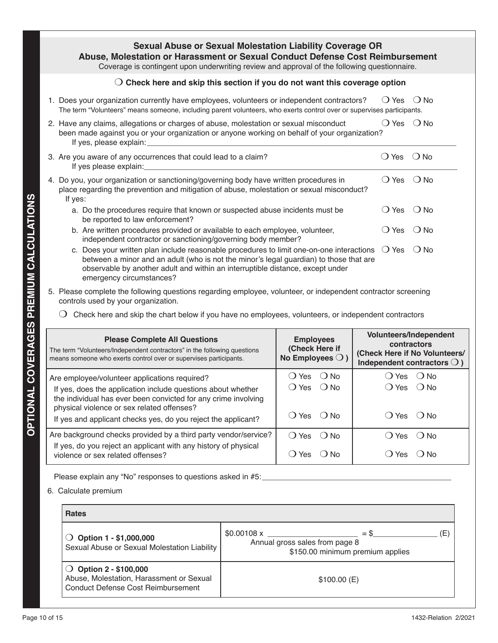## **Sexual Abuse or Sexual Molestation Liability Coverage OR Abuse, Molestation or Harassment or Sexual Conduct Defense Cost Reimbursement**

Coverage is contingent upon underwriting review and approval of the following questionnaire.

### $\bigcirc$  Check here and skip this section if you do not want this coverage option

1. Does your organization currently have employees, volunteers or independent contractors?  $\Box$  Yes  $\Box$  No The term "Volunteers" means someone, including parent volunteers, who exerts control over or supervises participants.

| 2. Have any claims, allegations or charges of abuse, molestation or sexual misconduct<br>been made against you or your organization or anyone working on behalf of your organization?<br>If yes, please explain: | <b>Yes</b>                  | $()$ No |
|------------------------------------------------------------------------------------------------------------------------------------------------------------------------------------------------------------------|-----------------------------|---------|
| 3. Are you aware of any occurrences that could lead to a claim?<br>If yes please explain:                                                                                                                        | () Yes                      | $()$ No |
| 4. Do you, your organization or sanctioning/governing body have written procedures in<br>place regarding the prevention and mitigation of abuse, molestation or sexual misconduct?<br>If yes:                    | $() Yes$ $() No$            |         |
| a. Do the procedures require that known or suspected abuse incidents must be<br>be reported to law enforcement?                                                                                                  | () Yes () No                |         |
| b. Are written procedures provided or available to each employee, volunteer,<br>independent contractor or sanctioning/governing body member?                                                                     | <b>Yes</b>                  | $()$ No |
|                                                                                                                                                                                                                  | $\sim \cdot$ $\sim$ $\cdot$ |         |

- c. Does your written plan include reasonable procedures to limit one-on-one interactions  $\bigcirc$  Yes  $\bigcirc$  No between a minor and an adult (who is not the minor's legal guardian) to those that are observable by another adult and within an interruptible distance, except under emergency circumstances?
- 5. Please complete the following questions regarding employee, volunteer, or independent contractor screening controls used by your organization.
	- $\bigcirc$  Check here and skip the chart below if you have no employees, volunteers, or independent contractors

| <b>Please Complete All Questions</b><br>The term "Volunteers/Independent contractors" in the following questions<br>means someone who exerts control over or supervises participants. | <b>Employees</b><br>(Check Here if<br>No Employees $\bigcirc$ ) | Volunteers/Independent<br>contractors<br>(Check Here if No Volunteers/<br>Independent contractors $\bigcirc$ ) |
|---------------------------------------------------------------------------------------------------------------------------------------------------------------------------------------|-----------------------------------------------------------------|----------------------------------------------------------------------------------------------------------------|
| Are employee/volunteer applications required?<br>If yes, does the application include questions about whether<br>the individual has ever been convicted for any crime involving       | ( ) Yes<br>$()$ No<br>() Yes () No                              | $()$ Yes $()$ No<br>$() Yes$ $() No$                                                                           |
| physical violence or sex related offenses?<br>If yes and applicant checks yes, do you reject the applicant?                                                                           | $()$ Yes $()$ No                                                | $() Yes$ $() No$                                                                                               |
| Are background checks provided by a third party vendor/service?                                                                                                                       | $O$ Yes $O$ No                                                  | $()$ Yes $()$ No                                                                                               |
| If yes, do you reject an applicant with any history of physical<br>violence or sex related offenses?                                                                                  | Yes<br>$\left( \quad \right)$<br>( ) N∩                         | $($ ) No<br>Yes                                                                                                |

Please explain any "No" responses to questions asked in #5:

### 6. Calculate premium

| <b>Rates</b>                                                                                                      |                                                                                                  |  |
|-------------------------------------------------------------------------------------------------------------------|--------------------------------------------------------------------------------------------------|--|
| $\bigcirc$ Option 1 - \$1,000,000<br>Sexual Abuse or Sexual Molestation Liability                                 | Έ<br>\$0.00108 x<br>$=$ \$<br>Annual gross sales from page 8<br>\$150.00 minimum premium applies |  |
| $\bigcirc$ Option 2 - \$100,000<br>Abuse, Molestation, Harassment or Sexual<br>Conduct Defense Cost Reimbursement | \$100.00(E)                                                                                      |  |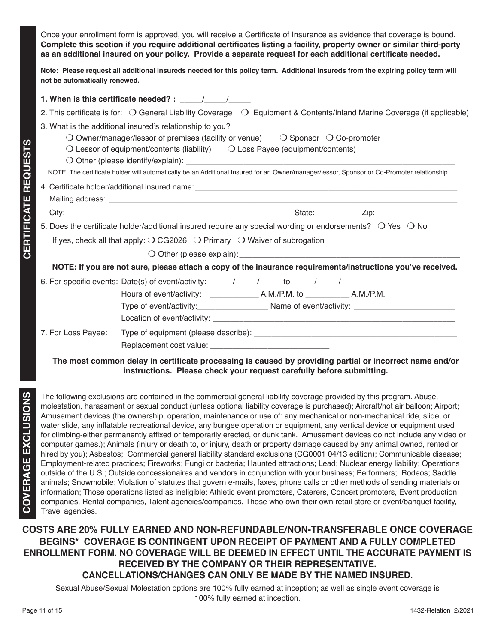Once your enrollment form is approved, you will receive a Certificate of Insurance as evidence that coverage is bound. **Complete this section if you require additional certificates listing a facility, property owner or similar third-party as an additional insured on your policy. Provide a separate request for each additional certificate needed.** 

**Note: Please request all additional insureds needed for this policy term. Additional insureds from the expiring policy term will not be automatically renewed.** 

| 1. When is this certificate needed? : $\frac{1}{\sqrt{1-\frac{1}{2}}}\frac{1}{\sqrt{1-\frac{1}{2}}}}$                                                                                                                                                                                                                                                                                                                |
|----------------------------------------------------------------------------------------------------------------------------------------------------------------------------------------------------------------------------------------------------------------------------------------------------------------------------------------------------------------------------------------------------------------------|
| 2. This certificate is for: $\bigcirc$ General Liability Coverage $\bigcirc$ Equipment & Contents/Inland Marine Coverage (if applicable)                                                                                                                                                                                                                                                                             |
| 3. What is the additional insured's relationship to you?<br>$\bigcirc$ Owner/manager/lessor of premises (facility or venue) $\bigcirc$ Sponsor $\bigcirc$ Co-promoter<br>$\bigcirc$ Lessor of equipment/contents (liability) $\bigcirc$ Loss Payee (equipment/contents)<br>NOTE: The certificate holder will automatically be an Additional Insured for an Owner/manager/lessor, Sponsor or Co-Promoter relationship |
|                                                                                                                                                                                                                                                                                                                                                                                                                      |
|                                                                                                                                                                                                                                                                                                                                                                                                                      |
|                                                                                                                                                                                                                                                                                                                                                                                                                      |
| 5. Does the certificate holder/additional insured require any special wording or endorsements? $\bigcirc$ Yes $\bigcirc$ No                                                                                                                                                                                                                                                                                          |
| If yes, check all that apply: $\bigcirc$ CG2026 $\bigcirc$ Primary $\bigcirc$ Waiver of subrogation                                                                                                                                                                                                                                                                                                                  |
|                                                                                                                                                                                                                                                                                                                                                                                                                      |
| NOTE: If you are not sure, please attach a copy of the insurance requirements/instructions you've received.                                                                                                                                                                                                                                                                                                          |
| 6. For specific events: Date(s) of event/activity: _____/_____/____ to _____/_____/<br>Type of event/activity:_______________________Name of event/activity: _____________________________                                                                                                                                                                                                                           |
| 7. For Loss Payee:                                                                                                                                                                                                                                                                                                                                                                                                   |

**The most common delay in certificate processing is caused by providing partial or incorrect name and/or instructions. Please check your request carefully before submitting.**

**CERTIFICATE REQUESTS**

**CERTIFICATE REQUESTS** 

The following exclusions are contained in the commercial general liability coverage provided by this program. Abuse, molestation, harassment or sexual conduct (unless optional liability coverage is purchased); Aircraft/hot air balloon; Airport; Amusement devices (the ownership, operation, maintenance or use of: any mechanical or non-mechanical ride, slide, or water slide, any inflatable recreational device, any bungee operation or equipment, any vertical device or equipment used for climbing-either permanently affixed or temporarily erected, or dunk tank. Amusement devices do not include any video or computer games.); Animals (injury or death to, or injury, death or property damage caused by any animal owned, rented or hired by you); Asbestos; Commercial general liability standard exclusions (CG0001 04/13 edition); Communicable disease; Employment-related practices; Fireworks; Fungi or bacteria; Haunted attractions; Lead; Nuclear energy liability; Operations outside of the U.S.; Outside concessionaires and vendors in conjunction with your business; Performers; Rodeos; Saddle animals; Snowmobile; Violation of statutes that govern e-mails, faxes, phone calls or other methods of sending materials or information; Those operations listed as ineligible: Athletic event promoters, Caterers, Concert promoters, Event production companies, Rental companies, Talent agencies/companies, Those who own their own retail store or event/banquet facility, Travel agencies.

## **COSTS ARE 20% FULLY EARNED AND NON-REFUNDABLE/NON-TRANSFERABLE ONCE COVERAGE BEGINS\* COVERAGE IS CONTINGENT UPON RECEIPT OF PAYMENT AND A FULLY COMPLETED ENROLLMENT FORM. NO COVERAGE WILL BE DEEMED IN EFFECT UNTIL THE ACCURATE PAYMENT IS RECEIVED BY THE COMPANY OR THEIR REPRESENTATIVE. CANCELLATIONS/CHANGES CAN ONLY BE MADE BY THE NAMED INSURED.**

Sexual Abuse/Sexual Molestation options are 100% fully earned at inception; as well as single event coverage is 100% fully earned at inception.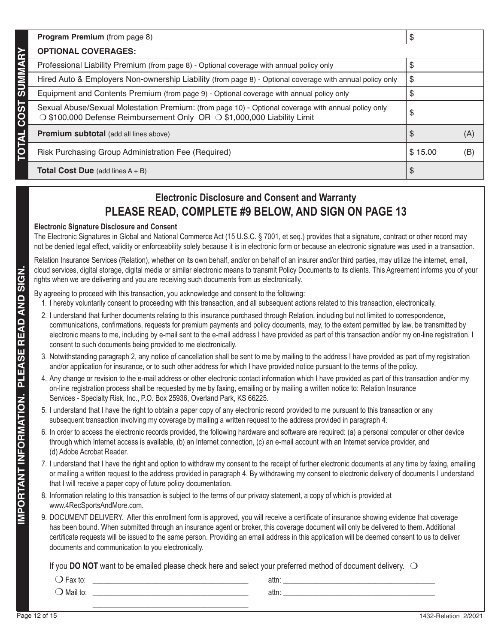|            | Program Premium (from page 8)                                                                                                                                                  |         |     |
|------------|--------------------------------------------------------------------------------------------------------------------------------------------------------------------------------|---------|-----|
|            | <b>OPTIONAL COVERAGES:</b>                                                                                                                                                     |         |     |
|            | Professional Liability Premium (from page 8) - Optional coverage with annual policy only                                                                                       |         |     |
|            | Hired Auto & Employers Non-ownership Liability (from page 8) - Optional coverage with annual policy only                                                                       | ა       |     |
| ທ          | Equipment and Contents Premium (from page 9) - Optional coverage with annual policy only                                                                                       |         |     |
| <b>COS</b> | Sexual Abuse/Sexual Molestation Premium: (from page 10) - Optional coverage with annual policy only<br>○ \$100,000 Defense Reimbursement Only OR ○ \$1,000,000 Liability Limit | \$      |     |
|            | <b>Premium subtotal</b> (add all lines above)                                                                                                                                  |         | (A) |
|            | Risk Purchasing Group Administration Fee (Required)                                                                                                                            | \$15.00 | (B) |
|            | <b>Total Cost Due</b> (add lines $A + B$ )                                                                                                                                     | Œ       |     |

## **Electronic Disclosure and Consent and Warranty PLEASE READ, COMPLETE #9 BELOW, AND SIGN ON PAGE 13**

### **Electronic Signature Disclosure and Consent**

The Electronic Signatures in Global and National Commerce Act (15 U.S.C. § 7001, et seq.) provides that a signature, contract or other record may not be denied legal effect, validity or enforceability solely because it is in electronic form or because an electronic signature was used in a transaction.

Relation Insurance Services (Relation), whether on its own behalf, and/or on behalf of an insurer and/or third parties, may utilize the internet, email, cloud services, digital storage, digital media or similar electronic means to transmit Policy Documents to its clients. This Agreement informs you of your rights when we are delivering and you are receiving such documents from us electronically.

By agreeing to proceed with this transaction, you acknowledge and consent to the following:

- 1. I hereby voluntarily consent to proceeding with this transaction, and all subsequent actions related to this transaction, electronically.
- 2. I understand that further documents relating to this insurance purchased through Relation, including but not limited to correspondence, communications, confirmations, requests for premium payments and policy documents, may, to the extent permitted by law, be transmitted by electronic means to me, including by e-mail sent to the e-mail address I have provided as part of this transaction and/or my on-line registration. I consent to such documents being provided to me electronically.
- 3. Notwithstanding paragraph 2, any notice of cancellation shall be sent to me by mailing to the address I have provided as part of my registration and/or application for insurance, or to such other address for which I have provided notice pursuant to the terms of the policy.
- 4. Any change or revision to the e-mail address or other electronic contact information which I have provided as part of this transaction and/or my on-line registration process shall be requested by me by faxing, emailing or by mailing a written notice to: Relation Insurance Services - Specialty Risk, Inc., P.O. Box 25936, Overland Park, KS 66225.
- 5. I understand that I have the right to obtain a paper copy of any electronic record provided to me pursuant to this transaction or any subsequent transaction involving my coverage by mailing a written request to the address provided in paragraph 4.
- 6. In order to access the electronic records provided, the following hardware and software are required: (a) a personal computer or other device through which Internet access is available, (b) an Internet connection, (c) an e-mail account with an Internet service provider, and (d) Adobe Acrobat Reader.
- 7. I understand that I have the right and option to withdraw my consent to the receipt of further electronic documents at any time by faxing, emailing or mailing a written request to the address provided in paragraph 4. By withdrawing my consent to electronic delivery of documents I understand that I will receive a paper copy of future policy documentation.
- 8. Information relating to this transaction is subject to the terms of our privacy statement, a copy of which is provided at www.4RecSportsAndMore.com.
- 9. DOCUMENT DELIVERY. After this enrollment form is approved, you will receive a certificate of insurance showing evidence that coverage has been bound. When submitted through an insurance agent or broker, this coverage document will only be delivered to them. Additional certificate requests will be issued to the same person. Providing an email address in this application will be deemed consent to us to deliver documents and communication to you electronically.

If you **DO NOT** want to be emailed please check here and select your preferred method of document delivery.  $\bigcirc$ 

| $E_{\rm av}$ to<br>ι ταλ ιυ.<br>$\checkmark$ | attn: |  |
|----------------------------------------------|-------|--|
| Mail to:                                     | attn: |  |
|                                              |       |  |

TOTAL COST SUMMARY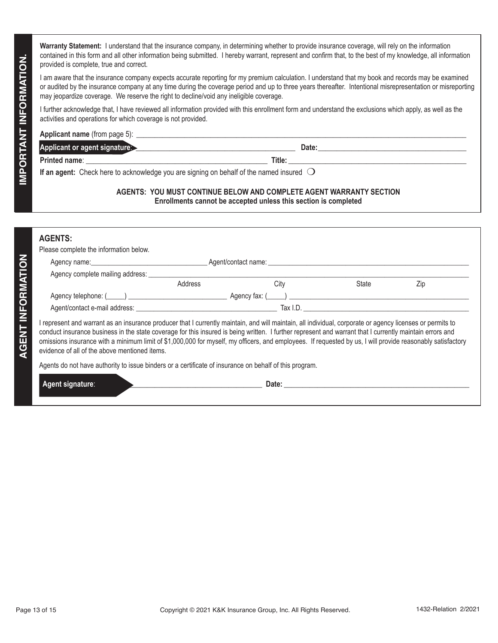**Warranty Statement:** I understand that the insurance company, in determining whether to provide insurance coverage, will rely on the information contained in this form and all other information being submitted. I hereby warrant, represent and confirm that, to the best of my knowledge, all information provided is complete, true and correct.

| <b>Applicant name</b> (from page 5): |        |
|--------------------------------------|--------|
| Applicant or agent signature:        | Date:  |
| <b>Printed name:</b>                 | Title: |

#### **AGENTS: YOU MUST CONTINUE BELOW AND COMPLETE AGENT WARRANTY SECTION Enrollments cannot be accepted unless this section is completed**

## **AGENTS:**

|                          | contained in this form and all other information being submitted. I hereby warrant, represent and confirm that, to the best of my knowledge, all information<br>provided is complete, true and correct.<br>I am aware that the insurance company expects accurate reporting for my premium calculation. I understand that my book and records may be examined<br>or audited by the insurance company at any time during the coverage period and up to three years thereafter. Intentional misrepresentation or misreporting<br>may jeopardize coverage. We reserve the right to decline/void any ineligible coverage. |         |                                                                                                                                                                                                                                                                                                                                                                                                                                                                                     |       |                      |
|--------------------------|-----------------------------------------------------------------------------------------------------------------------------------------------------------------------------------------------------------------------------------------------------------------------------------------------------------------------------------------------------------------------------------------------------------------------------------------------------------------------------------------------------------------------------------------------------------------------------------------------------------------------|---------|-------------------------------------------------------------------------------------------------------------------------------------------------------------------------------------------------------------------------------------------------------------------------------------------------------------------------------------------------------------------------------------------------------------------------------------------------------------------------------------|-------|----------------------|
| IMPORTANT INFORMATION.   |                                                                                                                                                                                                                                                                                                                                                                                                                                                                                                                                                                                                                       |         |                                                                                                                                                                                                                                                                                                                                                                                                                                                                                     |       |                      |
|                          | activities and operations for which coverage is not provided.                                                                                                                                                                                                                                                                                                                                                                                                                                                                                                                                                         |         | I further acknowledge that, I have reviewed all information provided with this enrollment form and understand the exclusions which apply, as well as the                                                                                                                                                                                                                                                                                                                            |       |                      |
|                          |                                                                                                                                                                                                                                                                                                                                                                                                                                                                                                                                                                                                                       |         |                                                                                                                                                                                                                                                                                                                                                                                                                                                                                     |       |                      |
|                          |                                                                                                                                                                                                                                                                                                                                                                                                                                                                                                                                                                                                                       |         | Applicant or agent signature and the contract of the contract of the contract of the contract or agent signature                                                                                                                                                                                                                                                                                                                                                                    |       |                      |
|                          |                                                                                                                                                                                                                                                                                                                                                                                                                                                                                                                                                                                                                       |         |                                                                                                                                                                                                                                                                                                                                                                                                                                                                                     |       |                      |
|                          | If an agent: Check here to acknowledge you are signing on behalf of the named insured $\bigcirc$                                                                                                                                                                                                                                                                                                                                                                                                                                                                                                                      |         |                                                                                                                                                                                                                                                                                                                                                                                                                                                                                     |       |                      |
|                          |                                                                                                                                                                                                                                                                                                                                                                                                                                                                                                                                                                                                                       |         | AGENTS: YOU MUST CONTINUE BELOW AND COMPLETE AGENT WARRANTY SECTION<br>Enrollments cannot be accepted unless this section is completed                                                                                                                                                                                                                                                                                                                                              |       |                      |
|                          | <b>AGENTS:</b><br>Please complete the information below.                                                                                                                                                                                                                                                                                                                                                                                                                                                                                                                                                              |         |                                                                                                                                                                                                                                                                                                                                                                                                                                                                                     |       |                      |
|                          |                                                                                                                                                                                                                                                                                                                                                                                                                                                                                                                                                                                                                       |         | Agent/contact name: Agent/contact name: Agent contact name:                                                                                                                                                                                                                                                                                                                                                                                                                         |       |                      |
|                          |                                                                                                                                                                                                                                                                                                                                                                                                                                                                                                                                                                                                                       |         |                                                                                                                                                                                                                                                                                                                                                                                                                                                                                     |       |                      |
|                          |                                                                                                                                                                                                                                                                                                                                                                                                                                                                                                                                                                                                                       | Address | City                                                                                                                                                                                                                                                                                                                                                                                                                                                                                | State | Zip                  |
|                          |                                                                                                                                                                                                                                                                                                                                                                                                                                                                                                                                                                                                                       |         |                                                                                                                                                                                                                                                                                                                                                                                                                                                                                     |       |                      |
|                          |                                                                                                                                                                                                                                                                                                                                                                                                                                                                                                                                                                                                                       |         |                                                                                                                                                                                                                                                                                                                                                                                                                                                                                     |       |                      |
| <b>AGENT INFORMATION</b> | evidence of all of the above mentioned items.                                                                                                                                                                                                                                                                                                                                                                                                                                                                                                                                                                         |         | I represent and warrant as an insurance producer that I currently maintain, and will maintain, all individual, corporate or agency licenses or permits to<br>conduct insurance business in the state coverage for this insured is being written. I further represent and warrant that I currently maintain errors and<br>omissions insurance with a minimum limit of \$1,000,000 for myself, my officers, and employees. If requested by us, I will provide reasonably satisfactory |       |                      |
|                          | Agents do not have authority to issue binders or a certificate of insurance on behalf of this program.                                                                                                                                                                                                                                                                                                                                                                                                                                                                                                                |         |                                                                                                                                                                                                                                                                                                                                                                                                                                                                                     |       |                      |
|                          | Agent signature:                                                                                                                                                                                                                                                                                                                                                                                                                                                                                                                                                                                                      |         | Date: the contract of the contract of the contract of the contract of the contract of the contract of the contract of the contract of the contract of the contract of the contract of the contract of the contract of the cont                                                                                                                                                                                                                                                      |       |                      |
|                          |                                                                                                                                                                                                                                                                                                                                                                                                                                                                                                                                                                                                                       |         |                                                                                                                                                                                                                                                                                                                                                                                                                                                                                     |       |                      |
|                          |                                                                                                                                                                                                                                                                                                                                                                                                                                                                                                                                                                                                                       |         |                                                                                                                                                                                                                                                                                                                                                                                                                                                                                     |       |                      |
|                          |                                                                                                                                                                                                                                                                                                                                                                                                                                                                                                                                                                                                                       |         |                                                                                                                                                                                                                                                                                                                                                                                                                                                                                     |       |                      |
|                          |                                                                                                                                                                                                                                                                                                                                                                                                                                                                                                                                                                                                                       |         |                                                                                                                                                                                                                                                                                                                                                                                                                                                                                     |       |                      |
|                          |                                                                                                                                                                                                                                                                                                                                                                                                                                                                                                                                                                                                                       |         |                                                                                                                                                                                                                                                                                                                                                                                                                                                                                     |       |                      |
|                          |                                                                                                                                                                                                                                                                                                                                                                                                                                                                                                                                                                                                                       |         |                                                                                                                                                                                                                                                                                                                                                                                                                                                                                     |       |                      |
|                          |                                                                                                                                                                                                                                                                                                                                                                                                                                                                                                                                                                                                                       |         |                                                                                                                                                                                                                                                                                                                                                                                                                                                                                     |       |                      |
|                          |                                                                                                                                                                                                                                                                                                                                                                                                                                                                                                                                                                                                                       |         |                                                                                                                                                                                                                                                                                                                                                                                                                                                                                     |       |                      |
|                          |                                                                                                                                                                                                                                                                                                                                                                                                                                                                                                                                                                                                                       |         |                                                                                                                                                                                                                                                                                                                                                                                                                                                                                     |       |                      |
|                          |                                                                                                                                                                                                                                                                                                                                                                                                                                                                                                                                                                                                                       |         |                                                                                                                                                                                                                                                                                                                                                                                                                                                                                     |       |                      |
|                          |                                                                                                                                                                                                                                                                                                                                                                                                                                                                                                                                                                                                                       |         |                                                                                                                                                                                                                                                                                                                                                                                                                                                                                     |       |                      |
|                          |                                                                                                                                                                                                                                                                                                                                                                                                                                                                                                                                                                                                                       |         |                                                                                                                                                                                                                                                                                                                                                                                                                                                                                     |       |                      |
|                          |                                                                                                                                                                                                                                                                                                                                                                                                                                                                                                                                                                                                                       |         |                                                                                                                                                                                                                                                                                                                                                                                                                                                                                     |       |                      |
|                          |                                                                                                                                                                                                                                                                                                                                                                                                                                                                                                                                                                                                                       |         |                                                                                                                                                                                                                                                                                                                                                                                                                                                                                     |       |                      |
|                          |                                                                                                                                                                                                                                                                                                                                                                                                                                                                                                                                                                                                                       |         |                                                                                                                                                                                                                                                                                                                                                                                                                                                                                     |       |                      |
|                          |                                                                                                                                                                                                                                                                                                                                                                                                                                                                                                                                                                                                                       |         |                                                                                                                                                                                                                                                                                                                                                                                                                                                                                     |       |                      |
|                          |                                                                                                                                                                                                                                                                                                                                                                                                                                                                                                                                                                                                                       |         |                                                                                                                                                                                                                                                                                                                                                                                                                                                                                     |       |                      |
|                          | Page 13 of 15                                                                                                                                                                                                                                                                                                                                                                                                                                                                                                                                                                                                         |         | Copyright © 2021 K&K Insurance Group, Inc. All Rights Reserved.                                                                                                                                                                                                                                                                                                                                                                                                                     |       | 1432-Relation 2/2021 |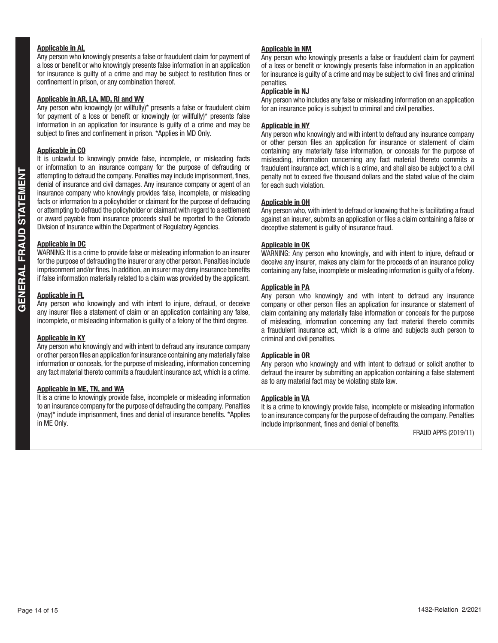#### **Applicable in AL**

Any person who knowingly presents a false or fraudulent claim for payment of a loss or benefit or who knowingly presents false information in an application for insurance is guilty of a crime and may be subject to restitution fines or confinement in prison, or any combination thereof.

#### **Applicable in AR, LA, MD, RI and WV**

Any person who knowingly (or willfully)\* presents a false or fraudulent claim for payment of a loss or benefit or knowingly (or willfully)\* presents false information in an application for insurance is guilty of a crime and may be subject to fines and confinement in prison. \*Applies in MD Only.

#### **Applicable in CO**

It is unlawful to knowingly provide false, incomplete, or misleading facts or information to an insurance company for the purpose of defrauding or attempting to defraud the company. Penalties may include imprisonment, fines, denial of insurance and civil damages. Any insurance company or agent of an insurance company who knowingly provides false, incomplete, or misleading facts or information to a policyholder or claimant for the purpose of defrauding or attempting to defraud the policyholder or claimant with regard to a settlement or award payable from insurance proceeds shall be reported to the Colorado Division of Insurance within the Department of Regulatory Agencies.

#### **Applicable in DC**

WARNING: It is a crime to provide false or misleading information to an insurer for the purpose of defrauding the insurer or any other person. Penalties include imprisonment and/or fines. In addition, an insurer may deny insurance benefits if false information materially related to a claim was provided by the applicant.

#### **Applicable in FL**

Any person who knowingly and with intent to injure, defraud, or deceive any insurer files a statement of claim or an application containing any false, incomplete, or misleading information is guilty of a felony of the third degree.

#### **Applicable in KY**

Any person who knowingly and with intent to defraud any insurance company or other person files an application for insurance containing any materially false information or conceals, for the purpose of misleading, information concerning any fact material thereto commits a fraudulent insurance act, which is a crime.

#### **Applicable in ME, TN, and WA**

It is a crime to knowingly provide false, incomplete or misleading information to an insurance company for the purpose of defrauding the company. Penalties (may)\* include imprisonment, fines and denial of insurance benefits. \*Applies in ME Only.

#### **Applicable in NM**

Any person who knowingly presents a false or fraudulent claim for payment of a loss or benefit or knowingly presents false information in an application for insurance is guilty of a crime and may be subject to civil fines and criminal penalties.

#### **Applicable in NJ**

Any person who includes any false or misleading information on an application for an insurance policy is subject to criminal and civil penalties.

#### **Applicable in NY**

Any person who knowingly and with intent to defraud any insurance company or other person files an application for insurance or statement of claim containing any materially false information, or conceals for the purpose of misleading, information concerning any fact material thereto commits a fraudulent insurance act, which is a crime, and shall also be subject to a civil penalty not to exceed five thousand dollars and the stated value of the claim for each such violation.

#### **Applicable in OH**

Any person who, with intent to defraud or knowing that he is facilitating a fraud against an insurer, submits an application or files a claim containing a false or deceptive statement is guilty of insurance fraud.

#### **Applicable in OK**

WARNING: Any person who knowingly, and with intent to injure, defraud or deceive any insurer, makes any claim for the proceeds of an insurance policy containing any false, incomplete or misleading information is guilty of a felony.

#### **Applicable in PA**

Any person who knowingly and with intent to defraud any insurance company or other person files an application for insurance or statement of claim containing any materially false information or conceals for the purpose of misleading, information concerning any fact material thereto commits a fraudulent insurance act, which is a crime and subjects such person to criminal and civil penalties.

#### **Applicable in OR**

Any person who knowingly and with intent to defraud or solicit another to defraud the insurer by submitting an application containing a false statement as to any material fact may be violating state law.

#### **Applicable in VA**

It is a crime to knowingly provide false, incomplete or misleading information to an insurance company for the purpose of defrauding the company. Penalties include imprisonment, fines and denial of benefits.

FRAUD APPS (2019/11)